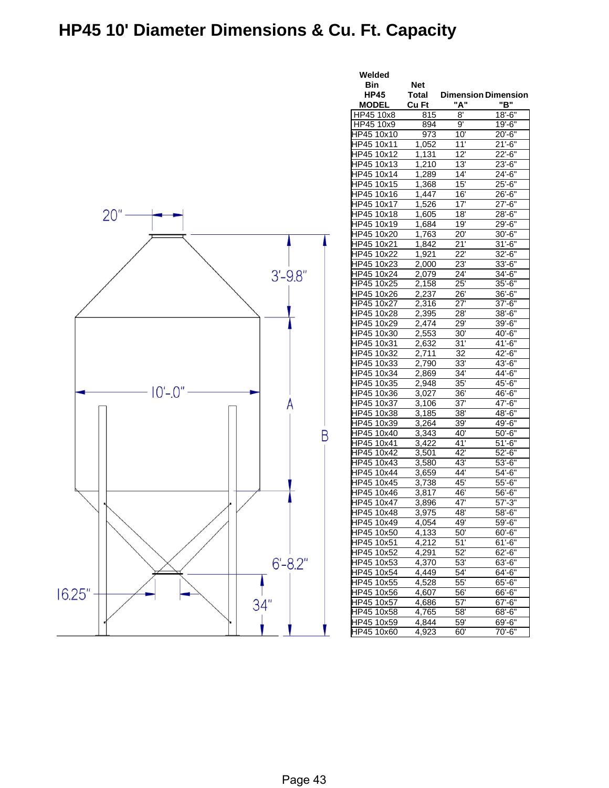## **HP45 10' Diameter Dimensions & Cu. Ft. Capacity**